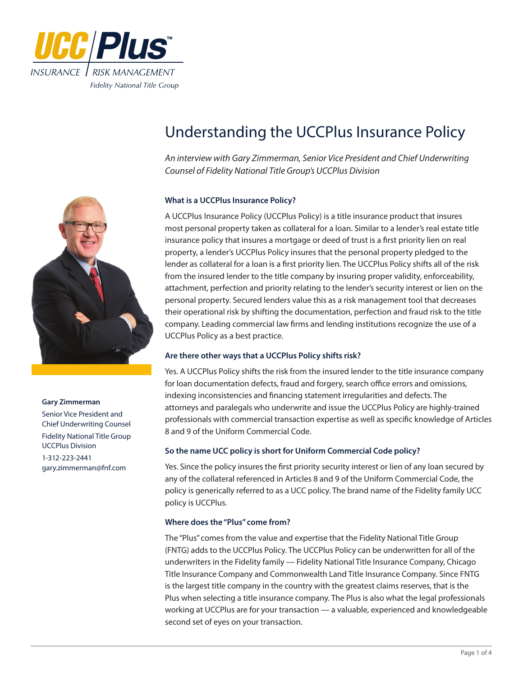



#### **Gary Zimmerman**

Senior Vice President and Chief Underwriting Counsel Fidelity National Title Group UCCPlus Division 1-312-223-2441 gary.zimmerman@fnf.com

# Understanding the UCCPlus Insurance Policy

*An interview with Gary Zimmerman, Senior Vice President and Chief Underwriting Counsel of Fidelity National Title Group's UCCPlus Division*

# **What is a UCCPlus Insurance Policy?**

A UCCPlus Insurance Policy (UCCPlus Policy) is a title insurance product that insures most personal property taken as collateral for a loan. Similar to a lender's real estate title insurance policy that insures a mortgage or deed of trust is a first priority lien on real property, a lender's UCCPlus Policy insures that the personal property pledged to the lender as collateral for a loan is a first priority lien. The UCCPlus Policy shifts all of the risk from the insured lender to the title company by insuring proper validity, enforceability, attachment, perfection and priority relating to the lender's security interest or lien on the personal property. Secured lenders value this as a risk management tool that decreases their operational risk by shifting the documentation, perfection and fraud risk to the title company. Leading commercial law firms and lending institutions recognize the use of a UCCPlus Policy as a best practice.

# **Are there other ways that a UCCPlus Policy shifts risk?**

Yes. A UCCPlus Policy shifts the risk from the insured lender to the title insurance company for loan documentation defects, fraud and forgery, search office errors and omissions, indexing inconsistencies and financing statement irregularities and defects. The attorneys and paralegals who underwrite and issue the UCCPlus Policy are highly-trained professionals with commercial transaction expertise as well as specific knowledge of Articles 8 and 9 of the Uniform Commercial Code.

# **So the name UCC policy is short for Uniform Commercial Code policy?**

Yes. Since the policy insures the first priority security interest or lien of any loan secured by any of the collateral referenced in Articles 8 and 9 of the Uniform Commercial Code, the policy is generically referred to as a UCC policy. The brand name of the Fidelity family UCC policy is UCCPlus.

# **Where does the "Plus" come from?**

The "Plus" comes from the value and expertise that the Fidelity National Title Group (FNTG) adds to the UCCPlus Policy. The UCCPlus Policy can be underwritten for all of the underwriters in the Fidelity family — Fidelity National Title Insurance Company, Chicago Title Insurance Company and Commonwealth Land Title Insurance Company. Since FNTG is the largest title company in the country with the greatest claims reserves, that is the Plus when selecting a title insurance company. The Plus is also what the legal professionals working at UCCPlus are for your transaction — a valuable, experienced and knowledgeable second set of eyes on your transaction.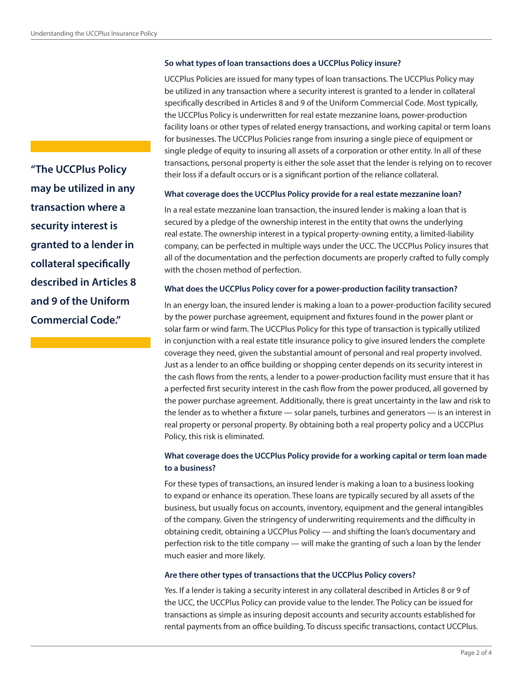## **So what types of loan transactions does a UCCPlus Policy insure?**

UCCPlus Policies are issued for many types of loan transactions. The UCCPlus Policy may be utilized in any transaction where a security interest is granted to a lender in collateral specifically described in Articles 8 and 9 of the Uniform Commercial Code. Most typically, the UCCPlus Policy is underwritten for real estate mezzanine loans, power-production facility loans or other types of related energy transactions, and working capital or term loans for businesses. The UCCPlus Policies range from insuring a single piece of equipment or single pledge of equity to insuring all assets of a corporation or other entity. In all of these transactions, personal property is either the sole asset that the lender is relying on to recover their loss if a default occurs or is a significant portion of the reliance collateral.

#### **What coverage does the UCCPlus Policy provide for a real estate mezzanine loan?**

In a real estate mezzanine loan transaction, the insured lender is making a loan that is secured by a pledge of the ownership interest in the entity that owns the underlying real estate. The ownership interest in a typical property-owning entity, a limited-liability company, can be perfected in multiple ways under the UCC. The UCCPlus Policy insures that all of the documentation and the perfection documents are properly crafted to fully comply with the chosen method of perfection.

## **What does the UCCPlus Policy cover for a power-production facility transaction?**

In an energy loan, the insured lender is making a loan to a power-production facility secured by the power purchase agreement, equipment and fixtures found in the power plant or solar farm or wind farm. The UCCPlus Policy for this type of transaction is typically utilized in conjunction with a real estate title insurance policy to give insured lenders the complete coverage they need, given the substantial amount of personal and real property involved. Just as a lender to an office building or shopping center depends on its security interest in the cash flows from the rents, a lender to a power-production facility must ensure that it has a perfected first security interest in the cash flow from the power produced, all governed by the power purchase agreement. Additionally, there is great uncertainty in the law and risk to the lender as to whether a fixture — solar panels, turbines and generators — is an interest in real property or personal property. By obtaining both a real property policy and a UCCPlus Policy, this risk is eliminated.

# **What coverage does the UCCPlus Policy provide for a working capital or term loan made to a business?**

For these types of transactions, an insured lender is making a loan to a business looking to expand or enhance its operation. These loans are typically secured by all assets of the business, but usually focus on accounts, inventory, equipment and the general intangibles of the company. Given the stringency of underwriting requirements and the difficulty in obtaining credit, obtaining a UCCPlus Policy — and shifting the loan's documentary and perfection risk to the title company — will make the granting of such a loan by the lender much easier and more likely.

### **Are there other types of transactions that the UCCPlus Policy covers?**

Yes. If a lender is taking a security interest in any collateral described in Articles 8 or 9 of the UCC, the UCCPlus Policy can provide value to the lender. The Policy can be issued for transactions as simple as insuring deposit accounts and security accounts established for rental payments from an office building. To discuss specific transactions, contact UCCPlus.

**"The UCCPlus Policy may be utilized in any transaction where a security interest is granted to a lender in collateral specifically described in Articles 8 and 9 of the Uniform Commercial Code."**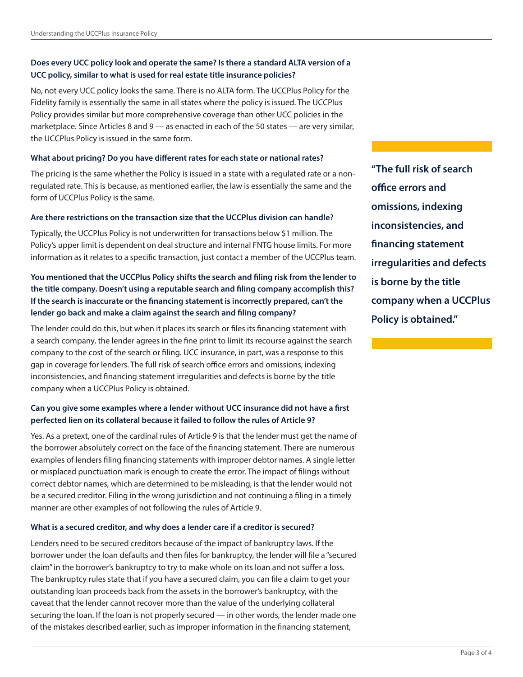# **Does every UCC policy look and operate the same? Is there a standard ALTA version of a UCC policy, similar to what is used for real estate title insurance policies?**

No, not every UCC policy looks the same. There is no ALTA form. The UCCPlus Policy for the Fidelity family is essentially the same in all states where the policy is issued. The UCCPlus Policy provides similar but more comprehensive coverage than other UCC policies in the marketplace. Since Articles 8 and 9 — as enacted in each of the 50 states — are very similar, the UCCPlus Policy is issued in the same form.

# **What about pricing? Do you have different rates for each state or national rates?**

The pricing is the same whether the Policy is issued in a state with a regulated rate or a nonregulated rate. This is because, as mentioned earlier, the law is essentially the same and the form of UCCPlus Policy is the same.

# **Are there restrictions on the transaction size that the UCCPlus division can handle?**

Typically, the UCCPlus Policy is not underwritten for transactions below \$1 million. The Policy's upper limit is dependent on deal structure and internal FNTG house limits. For more information as it relates to a specific transaction, just contact a member of the UCCPlus team.

# **You mentioned that the UCCPlus Policy shifts the search and filing risk from the lender to the title company. Doesn't using a reputable search and filing company accomplish this? If the search is inaccurate or the financing statement is incorrectly prepared, can't the lender go back and make a claim against the search and filing company?**

The lender could do this, but when it places its search or files its financing statement with a search company, the lender agrees in the fine print to limit its recourse against the search company to the cost of the search or filing. UCC insurance, in part, was a response to this gap in coverage for lenders. The full risk of search office errors and omissions, indexing inconsistencies, and financing statement irregularities and defects is borne by the title company when a UCCPlus Policy is obtained.

# **Can you give some examples where a lender without UCC insurance did not have a first perfected lien on its collateral because it failed to follow the rules of Article 9?**

Yes. As a pretext, one of the cardinal rules of Article 9 is that the lender must get the name of the borrower absolutely correct on the face of the financing statement. There are numerous examples of lenders filing financing statements with improper debtor names. A single letter or misplaced punctuation mark is enough to create the error. The impact of filings without correct debtor names, which are determined to be misleading, is that the lender would not be a secured creditor. Filing in the wrong jurisdiction and not continuing a filing in a timely manner are other examples of not following the rules of Article 9.

# **What is a secured creditor, and why does a lender care if a creditor is secured?**

Lenders need to be secured creditors because of the impact of bankruptcy laws. If the borrower under the loan defaults and then files for bankruptcy, the lender will file a "secured claim" in the borrower's bankruptcy to try to make whole on its loan and not suffer a loss. The bankruptcy rules state that if you have a secured claim, you can file a claim to get your outstanding loan proceeds back from the assets in the borrower's bankruptcy, with the caveat that the lender cannot recover more than the value of the underlying collateral securing the loan. If the loan is not properly secured — in other words, the lender made one of the mistakes described earlier, such as improper information in the financing statement,

**"The full risk of search office errors and omissions, indexing inconsistencies, and financing statement irregularities and defects is borne by the title company when a UCCPlus Policy is obtained."**